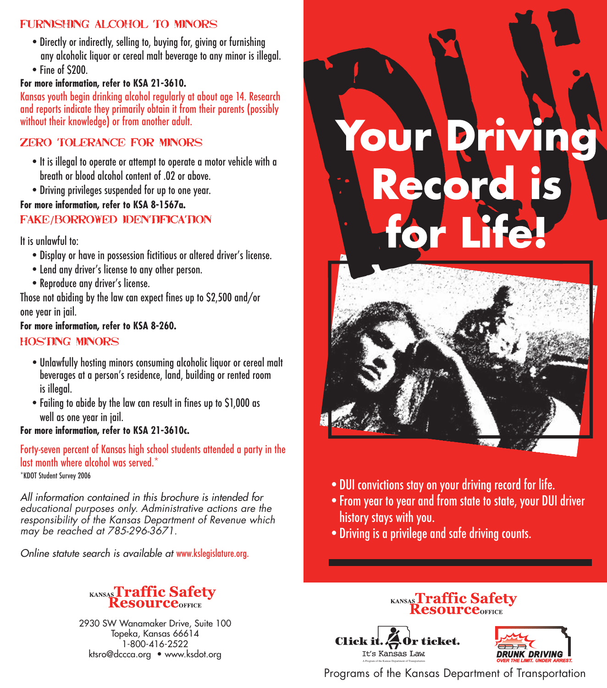## Furnishing alcohol to minors

- •Directly or indirectly, selling to, buying for, giving or furnishing any alcoholic liquor or cereal malt beverage to any minor is illegal.
- •Fine of \$200.

#### **For more information, refer to KSA 21-3610.**

Kansas youth begin drinking alcohol regularly at about age 14. Research and reports indicate they primarily obtain it from their parents (possibly without their knowledge) or from another adult.

## Zero tolerance for minors

- •It is illegal to operate or attempt to operate a motor vehicle with a breath or blood alcohol content of .02 or above.
- •Driving privileges suspended for up to one year.

#### **For more information, refer to KSA 8-1567a.**

#### Fake/borrowed identification

It is unlawful to:

- •Display or have in possession fictitious or altered driver's license.
- Lend any driver's license to any other person.
- •Reproduce any driver's license.

Those not abiding by the law can expect fines up to \$2,500 and/or one year in jail.

**For more information, refer to KSA 8-260.**

#### Hosting minors

- •Unlawfully hosting minors consuming alcoholic liquor or cereal malt beverages at a person's residence, land, building or rented room is illegal.
- •Failing to abide by the law can result in fines up to \$1,000 as well as one year in jail.
- **For more information, refer to KSA 21-3610c.**

Forty-seven percent of Kansas high school students attended a party in the last month where alcohol was served.\* \*KDOT Student Survey 2006

All information contained in this brochure is intended for educational purposes only. Administrative actions are the responsibility of the Kansas Department of Revenue which may be reached at 785-296-3671.

Online statute search is available at www.kslegislature.org.



2930 SW Wanamaker Drive, Suite 100 Topeka, Kansas 66614 1-800-416-2522 ktsro@dccca.org • www.ksdot.org





- •DUI convictions stay on your driving record for life.
- •From year to year and from state to state, your DUI driver history stays with you.
- •Driving is a privilege and safe driving counts.

# **KANSASTraffic Safety**

**Click** ticket. It's Kansas Law A Program of the Kansas Department of Transportation



Programs of the Kansas Department of Transportation